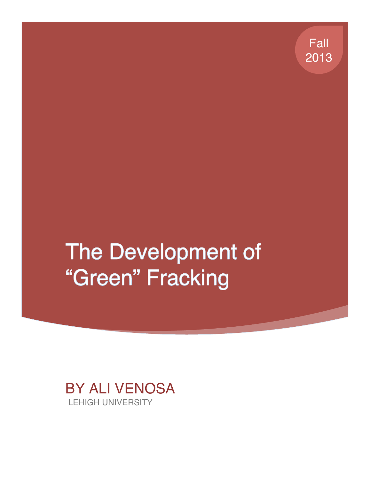Fall 2013

# The Development of "Green" Fracking

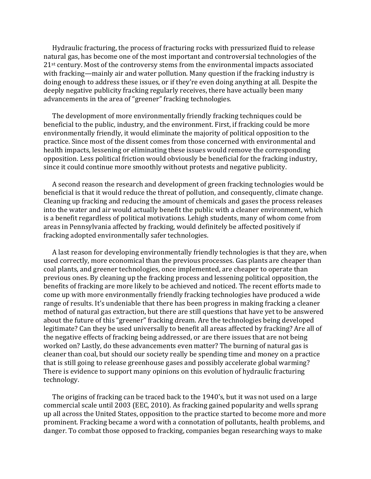Hydraulic fracturing, the process of fracturing rocks with pressurized fluid to release natural gas, has become one of the most important and controversial technologies of the  $21<sup>st</sup>$  century. Most of the controversy stems from the environmental impacts associated with fracking—mainly air and water pollution. Many question if the fracking industry is doing enough to address these issues, or if they're even doing anything at all. Despite the deeply negative publicity fracking regularly receives, there have actually been many advancements in the area of "greener" fracking technologies.

The development of more environmentally friendly fracking techniques could be beneficial to the public, industry, and the environment. First, if fracking could be more environmentally friendly, it would eliminate the majority of political opposition to the practice. Since most of the dissent comes from those concerned with environmental and health impacts, lessening or eliminating these issues would remove the corresponding opposition. Less political friction would obviously be beneficial for the fracking industry, since it could continue more smoothly without protests and negative publicity.

A second reason the research and development of green fracking technologies would be beneficial is that it would reduce the threat of pollution, and consequently, climate change. Cleaning up fracking and reducing the amount of chemicals and gases the process releases into the water and air would actually benefit the public with a cleaner environment, which is a benefit regardless of political motivations. Lehigh students, many of whom come from areas in Pennsylvania affected by fracking, would definitely be affected positively if fracking adopted environmentally safer technologies.

A last reason for developing environmentally friendly technologies is that they are, when used correctly, more economical than the previous processes. Gas plants are cheaper than coal plants, and greener technologies, once implemented, are cheaper to operate than previous ones. By cleaning up the fracking process and lessening political opposition, the benefits of fracking are more likely to be achieved and noticed. The recent efforts made to come up with more environmentally friendly fracking technologies have produced a wide range of results. It's undeniable that there has been progress in making fracking a cleaner method of natural gas extraction, but there are still questions that have yet to be answered about the future of this "greener" fracking dream. Are the technologies being developed legitimate? Can they be used universally to benefit all areas affected by fracking? Are all of the negative effects of fracking being addressed, or are there issues that are not being worked on? Lastly, do these advancements even matter? The burning of natural gas is cleaner than coal, but should our society really be spending time and money on a practice that is still going to release greenhouse gases and possibly accelerate global warming? There is evidence to support many opinions on this evolution of hydraulic fracturing technology.

The origins of fracking can be traced back to the 1940's, but it was not used on a large commercial scale until 2003 (EEC, 2010). As fracking gained popularity and wells sprang up all across the United States, opposition to the practice started to become more and more prominent. Fracking became a word with a connotation of pollutants, health problems, and danger. To combat those opposed to fracking, companies began researching ways to make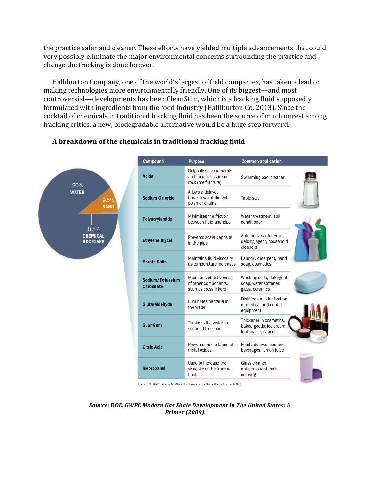the practice safer and cleaner. These efforts have yielded multiple advancements that could very possibly eliminate the major environmental concerns surrounding the practice and change the fracking is done forever.

Halliburton Company, one of the world's largest oilfield companies, has taken a lead on making technologies more environmentally friendly. One of its biggest—and most controversial—developments has been CleanStim, which is a fracking fluid supposedly formulated with ingredients from the food industry (Halliburton Co. 2013). Since the cocktail of chemicals in traditional fracking fluid has been the source of much unrest among fracking critics, a new, biodegradable alternative would be a huge step forward.



#### **A breakdown of the chemicals in traditional fracking fluid**

Source: DOE, GWPC: Modern Gas Shale Development in the United States: A Primer (2009).

Source: DOE, GWPC Modern Gas Shale Development In The United States: A *Primer (2009).*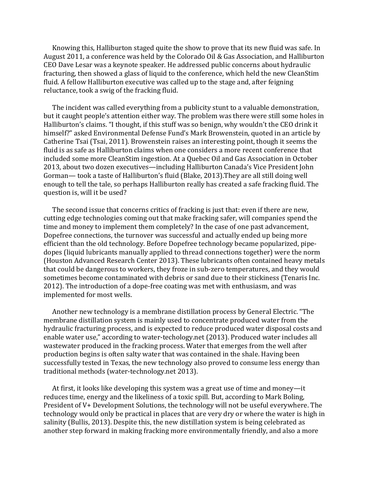Knowing this, Halliburton staged quite the show to prove that its new fluid was safe. In August 2011, a conference was held by the Colorado Oil & Gas Association, and Halliburton CEO Dave Lesar was a keynote speaker. He addressed public concerns about hydraulic fracturing, then showed a glass of liquid to the conference, which held the new CleanStim fluid. A fellow Halliburton executive was called up to the stage and, after feigning reluctance, took a swig of the fracking fluid.

The incident was called everything from a publicity stunt to a valuable demonstration, but it caught people's attention either way. The problem was there were still some holes in Halliburton's claims. "I thought, if this stuff was so benign, why wouldn't the CEO drink it himself?" asked Environmental Defense Fund's Mark Browenstein, quoted in an article by Catherine Tsai (Tsai, 2011). Browenstein raises an interesting point, though it seems the fluid is as safe as Halliburton claims when one considers a more recent conference that included some more CleanStim ingestion. At a Quebec Oil and Gas Association in October 2013, about two dozen executives—including Halliburton Canada's Vice President John Gorman— took a taste of Halliburton's fluid (Blake, 2013). They are all still doing well enough to tell the tale, so perhaps Halliburton really has created a safe fracking fluid. The question is, will it be used?

The second issue that concerns critics of fracking is just that: even if there are new, cutting edge technologies coming out that make fracking safer, will companies spend the time and money to implement them completely? In the case of one past advancement, Dopefree connections, the turnover was successful and actually ended up being more efficient than the old technology. Before Dopefree technology became popularized, pipedopes (liquid lubricants manually applied to thread connections together) were the norm (Houston Advanced Research Center 2013). These lubricants often contained heavy metals that could be dangerous to workers, they froze in sub-zero temperatures, and they would sometimes become contaminated with debris or sand due to their stickiness (Tenaris Inc. 2012). The introduction of a dope-free coating was met with enthusiasm, and was implemented for most wells.

Another new technology is a membrane distillation process by General Electric. "The membrane distillation system is mainly used to concentrate produced water from the hydraulic fracturing process, and is expected to reduce produced water disposal costs and enable water use," according to water-techology.net (2013). Produced water includes all wastewater produced in the fracking process. Water that emerges from the well after production begins is often salty water that was contained in the shale. Having been successfully tested in Texas, the new technology also proved to consume less energy than traditional methods (water-technology.net 2013).

At first, it looks like developing this system was a great use of time and money—it reduces time, energy and the likeliness of a toxic spill. But, according to Mark Boling, President of  $V+$  Development Solutions, the technology will not be useful everywhere. The technology would only be practical in places that are very dry or where the water is high in salinity (Bullis, 2013). Despite this, the new distillation system is being celebrated as another step forward in making fracking more environmentally friendly, and also a more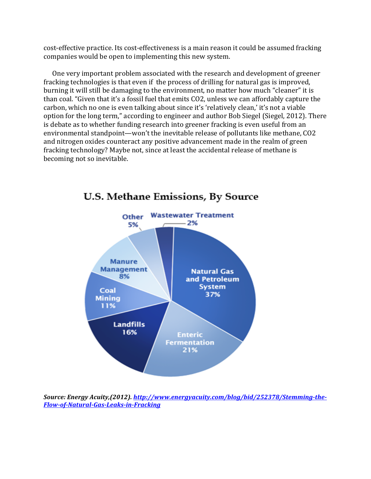cost-effective practice. Its cost-effectiveness is a main reason it could be assumed fracking companies would be open to implementing this new system.

One very important problem associated with the research and development of greener fracking technologies is that even if the process of drilling for natural gas is improved, burning it will still be damaging to the environment, no matter how much "cleaner" it is than coal. "Given that it's a fossil fuel that emits CO2, unless we can affordably capture the carbon, which no one is even talking about since it's 'relatively clean,' it's not a viable option for the long term," according to engineer and author Bob Siegel (Siegel, 2012). There is debate as to whether funding research into greener fracking is even useful from an environmental standpoint—won't the inevitable release of pollutants like methane, CO2 and nitrogen oxides counteract any positive advancement made in the realm of green fracking technology? Maybe not, since at least the accidental release of methane is becoming not so inevitable.



## U.S. Methane Emissions, By Source

Source: Energy Acuity,(2012). http://www.energyacuity.com/blog/bid/252378/Stemming-the-*Flow-of-Natural-Gas-Leaks-in-Fracking*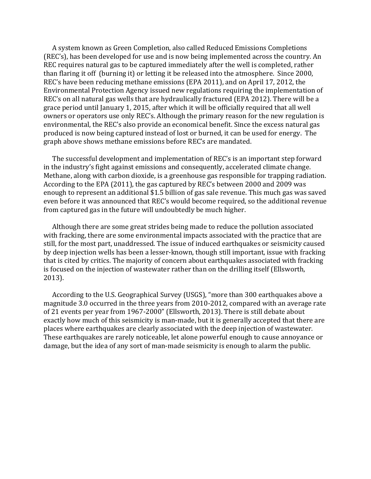A system known as Green Completion, also called Reduced Emissions Completions (REC's), has been developed for use and is now being implemented across the country. An REC requires natural gas to be captured immediately after the well is completed, rather than flaring it off (burning it) or letting it be released into the atmosphere. Since 2000, REC's have been reducing methane emissions (EPA 2011), and on April 17, 2012, the Environmental Protection Agency issued new regulations requiring the implementation of REC's on all natural gas wells that are hydraulically fractured (EPA 2012). There will be a grace period until January 1, 2015, after which it will be officially required that all well owners or operators use only REC's. Although the primary reason for the new regulation is environmental, the REC's also provide an economical benefit. Since the excess natural gas produced is now being captured instead of lost or burned, it can be used for energy. The graph above shows methane emissions before REC's are mandated.

The successful development and implementation of REC's is an important step forward in the industry's fight against emissions and consequently, accelerated climate change. Methane, along with carbon dioxide, is a greenhouse gas responsible for trapping radiation. According to the EPA (2011), the gas captured by REC's between 2000 and 2009 was enough to represent an additional \$1.5 billion of gas sale revenue. This much gas was saved even before it was announced that REC's would become required, so the additional revenue from captured gas in the future will undoubtedly be much higher.

Although there are some great strides being made to reduce the pollution associated with fracking, there are some environmental impacts associated with the practice that are still, for the most part, unaddressed. The issue of induced earthquakes or seismicity caused by deep injection wells has been a lesser-known, though still important, issue with fracking that is cited by critics. The majority of concern about earthquakes associated with fracking is focused on the injection of wastewater rather than on the drilling itself (Ellsworth, 2013). 

According to the U.S. Geographical Survey (USGS), "more than 300 earthquakes above a magnitude 3.0 occurred in the three years from 2010-2012, compared with an average rate of 21 events per year from 1967-2000" (Ellsworth, 2013). There is still debate about exactly how much of this seismicity is man-made, but it is generally accepted that there are places where earthquakes are clearly associated with the deep injection of wastewater. These earthquakes are rarely noticeable, let alone powerful enough to cause annoyance or damage, but the idea of any sort of man-made seismicity is enough to alarm the public.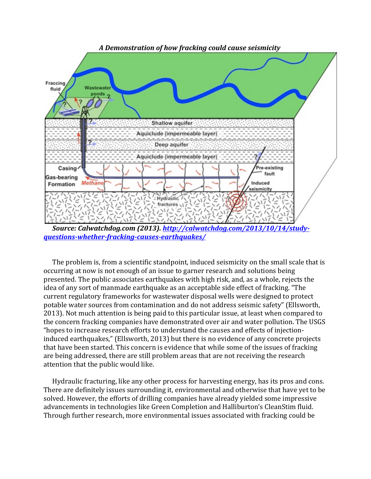

Source: Calwatchdog.com (2013). http://calwatchdog.com/2013/10/14/studv*questions-whether-fracking-causes-earthquakes/*

The problem is, from a scientific standpoint, induced seismicity on the small scale that is occurring at now is not enough of an issue to garner research and solutions being presented. The public associates earthquakes with high risk, and, as a whole, rejects the idea of any sort of manmade earthquake as an acceptable side effect of fracking. "The current regulatory frameworks for wastewater disposal wells were designed to protect potable water sources from contamination and do not address seismic safety" (Ellsworth, 2013). Not much attention is being paid to this particular issue, at least when compared to the concern fracking companies have demonstrated over air and water pollution. The USGS "hopes to increase research efforts to understand the causes and effects of injectioninduced earthquakes," (Ellsworth, 2013) but there is no evidence of any concrete projects that have been started. This concern is evidence that while some of the issues of fracking are being addressed, there are still problem areas that are not receiving the research attention that the public would like.

Hydraulic fracturing, like any other process for harvesting energy, has its pros and cons. There are definitely issues surrounding it, environmental and otherwise that have yet to be solved. However, the efforts of drilling companies have already yielded some impressive advancements in technologies like Green Completion and Halliburton's CleanStim fluid. Through further research, more environmental issues associated with fracking could be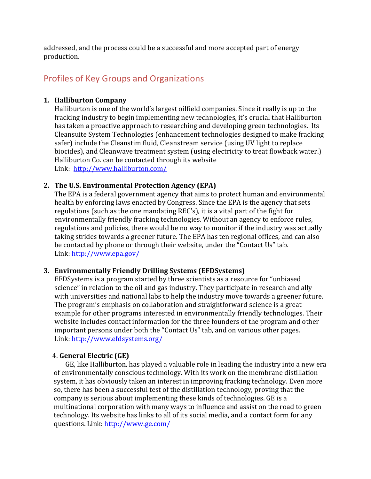addressed, and the process could be a successful and more accepted part of energy production.

## Profiles of Key Groups and Organizations

#### **1. Halliburton Company**

Halliburton is one of the world's largest oilfield companies. Since it really is up to the fracking industry to begin implementing new technologies, it's crucial that Halliburton has taken a proactive approach to researching and developing green technologies. Its Cleansuite System Technologies (enhancement technologies designed to make fracking safer) include the Cleanstim fluid, Cleanstream service (using UV light to replace biocides), and Cleanwave treatment system (using electricity to treat flowback water.) Halliburton Co. can be contacted through its website Link: http://www.halliburton.com/

#### **2.** The U.S. Environmental Protection Agency (EPA)

The EPA is a federal government agency that aims to protect human and environmental health by enforcing laws enacted by Congress. Since the EPA is the agency that sets regulations (such as the one mandating REC's), it is a vital part of the fight for environmentally friendly fracking technologies. Without an agency to enforce rules, regulations and policies, there would be no way to monitor if the industry was actually taking strides towards a greener future. The EPA has ten regional offices, and can also be contacted by phone or through their website, under the "Contact Us" tab. Link: http://www.epa.gov/

#### **3. Environmentally Friendly Drilling Systems (EFDSystems)**

EFDSystems is a program started by three scientists as a resource for "unbiased science" in relation to the oil and gas industry. They participate in research and ally with universities and national labs to help the industry move towards a greener future. The program's emphasis on collaboration and straightforward science is a great example for other programs interested in environmentally friendly technologies. Their website includes contact information for the three founders of the program and other important persons under both the "Contact Us" tab, and on various other pages. Link: http://www.efdsystems.org/

#### 4. **General Electric (GE)**

GE, like Halliburton, has played a valuable role in leading the industry into a new era of environmentally conscious technology. With its work on the membrane distillation system, it has obviously taken an interest in improving fracking technology. Even more so, there has been a successful test of the distillation technology, proving that the company is serious about implementing these kinds of technologies. GE is a multinational corporation with many ways to influence and assist on the road to green technology. Its website has links to all of its social media, and a contact form for any questions. Link: http://www.ge.com/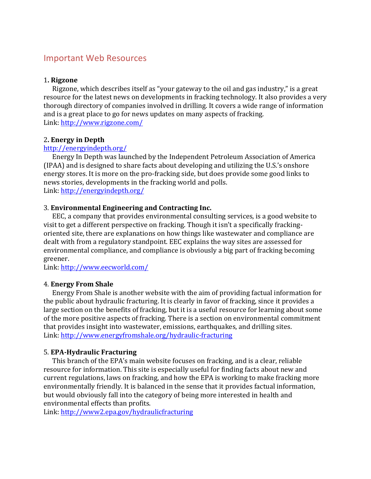### **Important Web Resources**

#### 1**. Rigzone**

Rigzone, which describes itself as "your gateway to the oil and gas industry," is a great resource for the latest news on developments in fracking technology. It also provides a very thorough directory of companies involved in drilling. It covers a wide range of information and is a great place to go for news updates on many aspects of fracking. Link: http://www.rigzone.com/

#### 2**. Energy in Depth**

#### http://energyindepth.org/

Energy In Depth was launched by the Independent Petroleum Association of America (IPAA) and is designed to share facts about developing and utilizing the U.S.'s onshore energy stores. It is more on the pro-fracking side, but does provide some good links to news stories, developments in the fracking world and polls. Link: http://energyindepth.org/

#### 3. **Environmental Engineering and Contracting Inc.**

EEC, a company that provides environmental consulting services, is a good website to visit to get a different perspective on fracking. Though it isn't a specifically frackingoriented site, there are explanations on how things like wastewater and compliance are dealt with from a regulatory standpoint. EEC explains the way sites are assessed for environmental compliance, and compliance is obviously a big part of fracking becoming greener.

Link: http://www.eecworld.com/

#### 4. **Energy From Shale**

Energy From Shale is another website with the aim of providing factual information for the public about hydraulic fracturing. It is clearly in favor of fracking, since it provides a large section on the benefits of fracking, but it is a useful resource for learning about some of the more positive aspects of fracking. There is a section on environmental commitment that provides insight into wastewater, emissions, earthquakes, and drilling sites. Link: http://www.energyfromshale.org/hydraulic-fracturing

#### 5. **EPA-Hydraulic Fracturing**

This branch of the EPA's main website focuses on fracking, and is a clear, reliable resource for information. This site is especially useful for finding facts about new and current regulations, laws on fracking, and how the EPA is working to make fracking more environmentally friendly. It is balanced in the sense that it provides factual information, but would obviously fall into the category of being more interested in health and environmental effects than profits.

Link: http://www2.epa.gov/hydraulicfracturing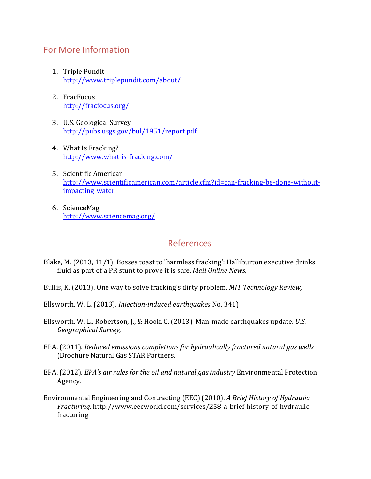## For More Information

- 1. Triple Pundit http://www.triplepundit.com/about/
- 2. FracFocus http://fracfocus.org/
- 3. U.S. Geological Survey http://pubs.usgs.gov/bul/1951/report.pdf
- 4. What Is Fracking? http://www.what-is-fracking.com/
- 5. Scientific American http://www.scientificamerican.com/article.cfm?id=can-fracking-be-done-withoutimpacting-water
- 6. ScienceMag http://www.sciencemag.org/

## References

- Blake, M. (2013, 11/1). Bosses toast to 'harmless fracking': Halliburton executive drinks fluid as part of a PR stunt to prove it is safe. *Mail Online News*,
- Bullis, K. (2013). One way to solve fracking's dirty problem. *MIT Technology Review*,
- Ellsworth, W. L. (2013). *Injection-induced earthquakes* No. 341)
- Ellsworth, W. L., Robertson, J., & Hook, C. (2013). Man-made earthquakes update. *U.S. Geographical Survey,*
- EPA. (2011). *Reduced emissions completions for hydraulically fractured natural gas wells* (Brochure Natural Gas STAR Partners.
- EPA. (2012). *EPA's air rules for the oil and natural gas industry* Environmental Protection Agency.
- Environmental Engineering and Contracting (EEC) (2010). A Brief History of Hydraulic *Fracturing.* http://www.eecworld.com/services/258-a-brief-history-of-hydraulicfracturing